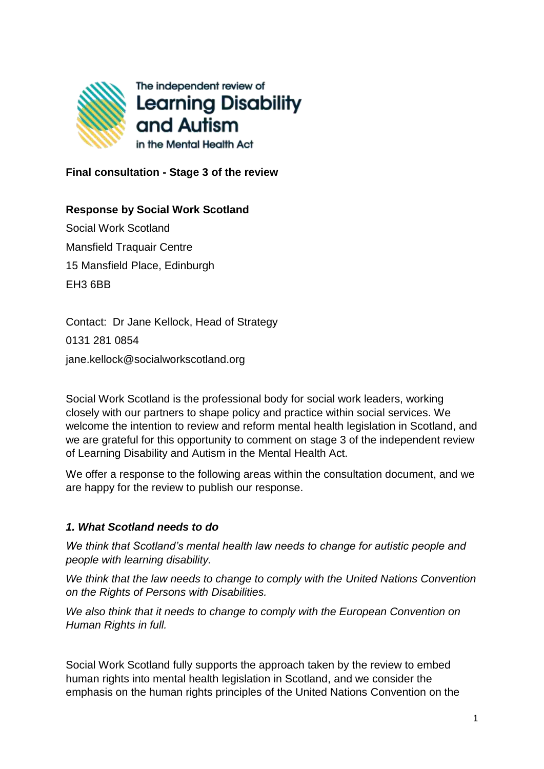

**Final consultation - Stage 3 of the review**

# **Response by Social Work Scotland**

Social Work Scotland Mansfield Traquair Centre 15 Mansfield Place, Edinburgh EH3 6BB

Contact: Dr Jane Kellock, Head of Strategy 0131 281 0854 jane.kellock@socialworkscotland.org

Social Work Scotland is the professional body for social work leaders, working closely with our partners to shape policy and practice within social services. We welcome the intention to review and reform mental health legislation in Scotland, and we are grateful for this opportunity to comment on stage 3 of the independent review of Learning Disability and Autism in the Mental Health Act.

We offer a response to the following areas within the consultation document, and we are happy for the review to publish our response.

#### *1. What Scotland needs to do*

*We think that Scotland's mental health law needs to change for autistic people and people with learning disability.*

*We think that the law needs to change to comply with the United Nations Convention on the Rights of Persons with Disabilities.*

*We also think that it needs to change to comply with the European Convention on Human Rights in full.*

Social Work Scotland fully supports the approach taken by the review to embed human rights into mental health legislation in Scotland, and we consider the emphasis on the human rights principles of the United Nations Convention on the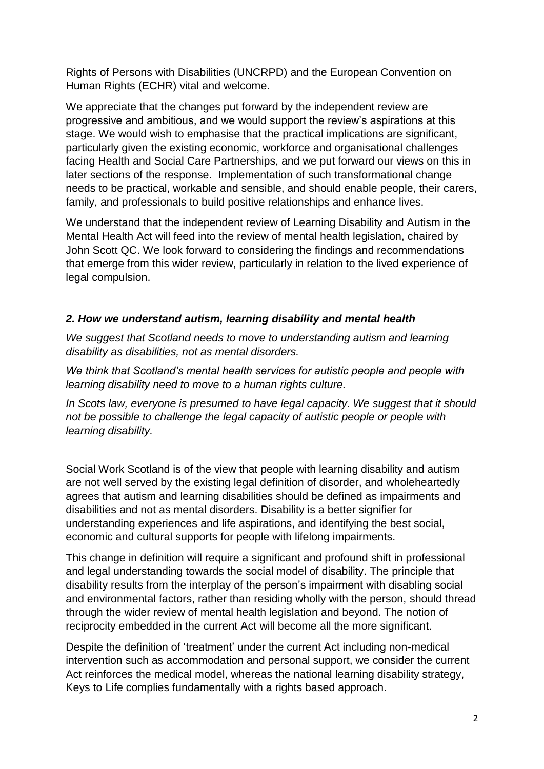Rights of Persons with Disabilities (UNCRPD) and the European Convention on Human Rights (ECHR) vital and welcome.

We appreciate that the changes put forward by the independent review are progressive and ambitious, and we would support the review's aspirations at this stage. We would wish to emphasise that the practical implications are significant, particularly given the existing economic, workforce and organisational challenges facing Health and Social Care Partnerships, and we put forward our views on this in later sections of the response. Implementation of such transformational change needs to be practical, workable and sensible, and should enable people, their carers, family, and professionals to build positive relationships and enhance lives.

We understand that the independent review of Learning Disability and Autism in the Mental Health Act will feed into the review of mental health legislation, chaired by John Scott QC. We look forward to considering the findings and recommendations that emerge from this wider review, particularly in relation to the lived experience of legal compulsion.

#### *2. How we understand autism, learning disability and mental health*

*We suggest that Scotland needs to move to understanding autism and learning disability as disabilities, not as mental disorders.* 

*We think that Scotland's mental health services for autistic people and people with learning disability need to move to a human rights culture.* 

In Scots law, everyone is presumed to have legal capacity. We suggest that it should *not be possible to challenge the legal capacity of autistic people or people with learning disability.*

Social Work Scotland is of the view that people with learning disability and autism are not well served by the existing legal definition of disorder, and wholeheartedly agrees that autism and learning disabilities should be defined as impairments and disabilities and not as mental disorders. Disability is a better signifier for understanding experiences and life aspirations, and identifying the best social, economic and cultural supports for people with lifelong impairments.

This change in definition will require a significant and profound shift in professional and legal understanding towards the social model of disability. The principle that disability results from the interplay of the person's impairment with disabling social and environmental factors, rather than residing wholly with the person, should thread through the wider review of mental health legislation and beyond. The notion of reciprocity embedded in the current Act will become all the more significant.

Despite the definition of 'treatment' under the current Act including non-medical intervention such as accommodation and personal support, we consider the current Act reinforces the medical model, whereas the national learning disability strategy, Keys to Life complies fundamentally with a rights based approach.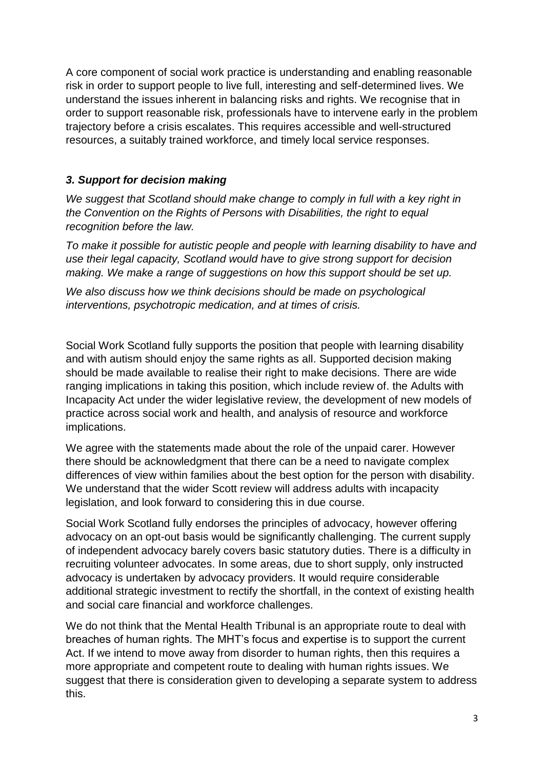A core component of social work practice is understanding and enabling reasonable risk in order to support people to live full, interesting and self-determined lives. We understand the issues inherent in balancing risks and rights. We recognise that in order to support reasonable risk, professionals have to intervene early in the problem trajectory before a crisis escalates. This requires accessible and well-structured resources, a suitably trained workforce, and timely local service responses.

### *3. Support for decision making*

*We suggest that Scotland should make change to comply in full with a key right in the Convention on the Rights of Persons with Disabilities, the right to equal recognition before the law.*

*To make it possible for autistic people and people with learning disability to have and use their legal capacity, Scotland would have to give strong support for decision*  making. We make a range of suggestions on how this support should be set up.

*We also discuss how we think decisions should be made on psychological interventions, psychotropic medication, and at times of crisis.*

Social Work Scotland fully supports the position that people with learning disability and with autism should enjoy the same rights as all. Supported decision making should be made available to realise their right to make decisions. There are wide ranging implications in taking this position, which include review of. the Adults with Incapacity Act under the wider legislative review, the development of new models of practice across social work and health, and analysis of resource and workforce implications.

We agree with the statements made about the role of the unpaid carer. However there should be acknowledgment that there can be a need to navigate complex differences of view within families about the best option for the person with disability. We understand that the wider Scott review will address adults with incapacity legislation, and look forward to considering this in due course.

Social Work Scotland fully endorses the principles of advocacy, however offering advocacy on an opt-out basis would be significantly challenging. The current supply of independent advocacy barely covers basic statutory duties. There is a difficulty in recruiting volunteer advocates. In some areas, due to short supply, only instructed advocacy is undertaken by advocacy providers. It would require considerable additional strategic investment to rectify the shortfall, in the context of existing health and social care financial and workforce challenges.

We do not think that the Mental Health Tribunal is an appropriate route to deal with breaches of human rights. The MHT's focus and expertise is to support the current Act. If we intend to move away from disorder to human rights, then this requires a more appropriate and competent route to dealing with human rights issues. We suggest that there is consideration given to developing a separate system to address this.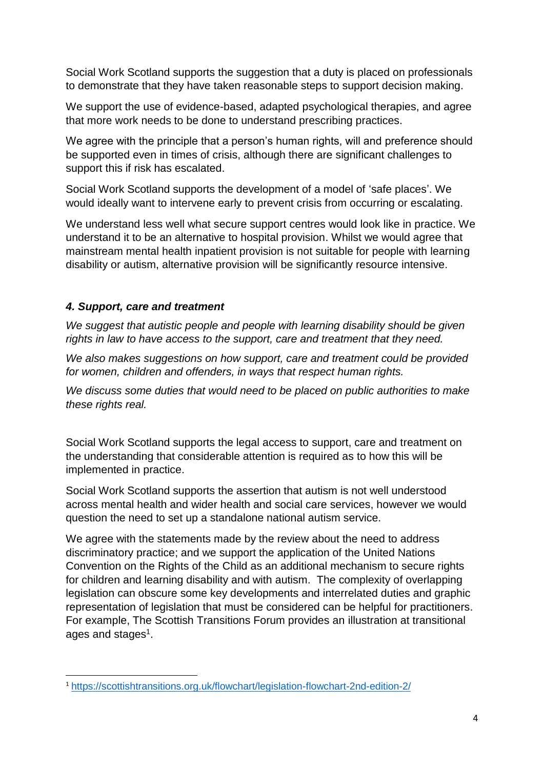Social Work Scotland supports the suggestion that a duty is placed on professionals to demonstrate that they have taken reasonable steps to support decision making.

We support the use of evidence-based, adapted psychological therapies, and agree that more work needs to be done to understand prescribing practices.

We agree with the principle that a person's human rights, will and preference should be supported even in times of crisis, although there are significant challenges to support this if risk has escalated.

Social Work Scotland supports the development of a model of 'safe places'. We would ideally want to intervene early to prevent crisis from occurring or escalating.

We understand less well what secure support centres would look like in practice. We understand it to be an alternative to hospital provision. Whilst we would agree that mainstream mental health inpatient provision is not suitable for people with learning disability or autism, alternative provision will be significantly resource intensive.

#### *4. Support, care and treatment*

**.** 

*We suggest that autistic people and people with learning disability should be given rights in law to have access to the support, care and treatment that they need.* 

We also makes suggestions on how support, care and treatment could be provided *for women, children and offenders, in ways that respect human rights.*

*We discuss some duties that would need to be placed on public authorities to make these rights real.*

Social Work Scotland supports the legal access to support, care and treatment on the understanding that considerable attention is required as to how this will be implemented in practice.

Social Work Scotland supports the assertion that autism is not well understood across mental health and wider health and social care services, however we would question the need to set up a standalone national autism service.

We agree with the statements made by the review about the need to address discriminatory practice; and we support the application of the United Nations Convention on the Rights of the Child as an additional mechanism to secure rights for children and learning disability and with autism. The complexity of overlapping legislation can obscure some key developments and interrelated duties and graphic representation of legislation that must be considered can be helpful for practitioners. For example, The Scottish Transitions Forum provides an illustration at transitional ages and stages<sup>1</sup>.

<sup>1</sup> <https://scottishtransitions.org.uk/flowchart/legislation-flowchart-2nd-edition-2/>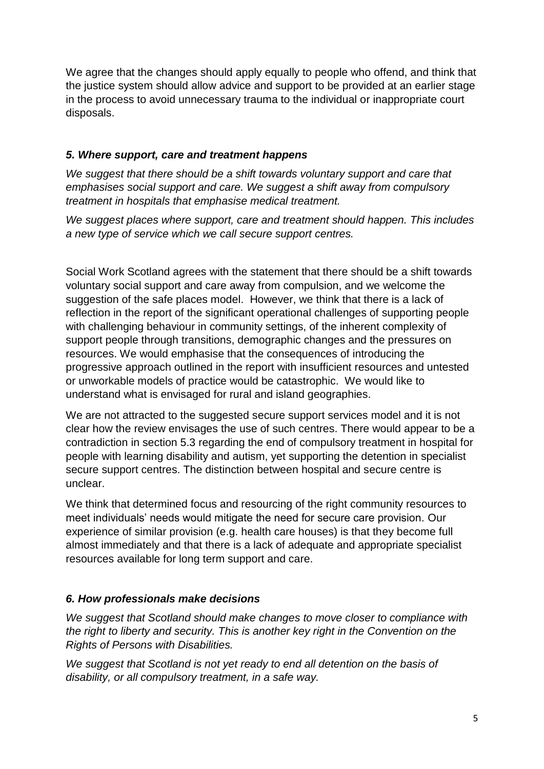We agree that the changes should apply equally to people who offend, and think that the justice system should allow advice and support to be provided at an earlier stage in the process to avoid unnecessary trauma to the individual or inappropriate court disposals.

## *5. Where support, care and treatment happens*

We suggest that there should be a shift towards voluntary support and care that *emphasises social support and care. We suggest a shift away from compulsory treatment in hospitals that emphasise medical treatment.* 

*We suggest places where support, care and treatment should happen. This includes a new type of service which we call secure support centres.*

Social Work Scotland agrees with the statement that there should be a shift towards voluntary social support and care away from compulsion, and we welcome the suggestion of the safe places model. However, we think that there is a lack of reflection in the report of the significant operational challenges of supporting people with challenging behaviour in community settings, of the inherent complexity of support people through transitions, demographic changes and the pressures on resources. We would emphasise that the consequences of introducing the progressive approach outlined in the report with insufficient resources and untested or unworkable models of practice would be catastrophic. We would like to understand what is envisaged for rural and island geographies.

We are not attracted to the suggested secure support services model and it is not clear how the review envisages the use of such centres. There would appear to be a contradiction in section 5.3 regarding the end of compulsory treatment in hospital for people with learning disability and autism, yet supporting the detention in specialist secure support centres. The distinction between hospital and secure centre is unclear.

We think that determined focus and resourcing of the right community resources to meet individuals' needs would mitigate the need for secure care provision. Our experience of similar provision (e.g. health care houses) is that they become full almost immediately and that there is a lack of adequate and appropriate specialist resources available for long term support and care.

#### *6. How professionals make decisions*

*We suggest that Scotland should make changes to move closer to compliance with the right to liberty and security. This is another key right in the Convention on the Rights of Persons with Disabilities.* 

*We suggest that Scotland is not yet ready to end all detention on the basis of disability, or all compulsory treatment, in a safe way.*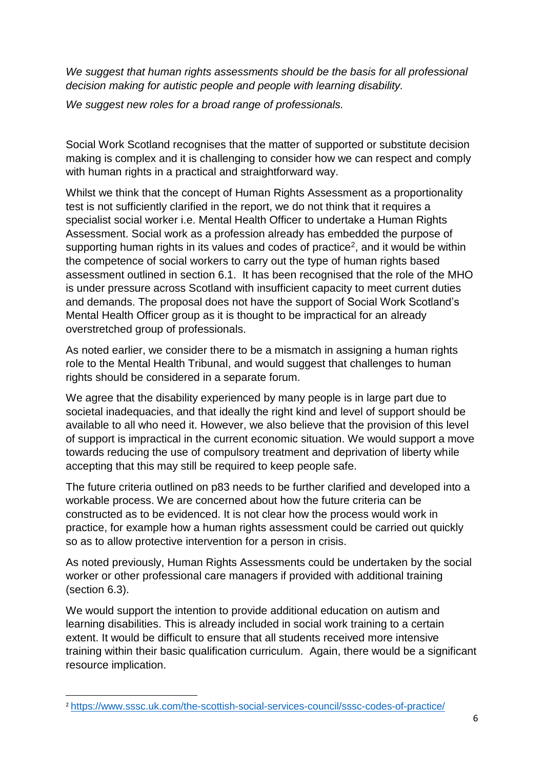We suggest that human rights assessments should be the basis for all professional *decision making for autistic people and people with learning disability.*

*We suggest new roles for a broad range of professionals.*

Social Work Scotland recognises that the matter of supported or substitute decision making is complex and it is challenging to consider how we can respect and comply with human rights in a practical and straightforward way.

Whilst we think that the concept of Human Rights Assessment as a proportionality test is not sufficiently clarified in the report, we do not think that it requires a specialist social worker i.e. Mental Health Officer to undertake a Human Rights Assessment. Social work as a profession already has embedded the purpose of supporting human rights in its values and codes of practice<sup>2</sup>, and it would be within the competence of social workers to carry out the type of human rights based assessment outlined in section 6.1. It has been recognised that the role of the MHO is under pressure across Scotland with insufficient capacity to meet current duties and demands. The proposal does not have the support of Social Work Scotland's Mental Health Officer group as it is thought to be impractical for an already overstretched group of professionals.

As noted earlier, we consider there to be a mismatch in assigning a human rights role to the Mental Health Tribunal, and would suggest that challenges to human rights should be considered in a separate forum.

We agree that the disability experienced by many people is in large part due to societal inadequacies, and that ideally the right kind and level of support should be available to all who need it. However, we also believe that the provision of this level of support is impractical in the current economic situation. We would support a move towards reducing the use of compulsory treatment and deprivation of liberty while accepting that this may still be required to keep people safe.

The future criteria outlined on p83 needs to be further clarified and developed into a workable process. We are concerned about how the future criteria can be constructed as to be evidenced. It is not clear how the process would work in practice, for example how a human rights assessment could be carried out quickly so as to allow protective intervention for a person in crisis.

As noted previously, Human Rights Assessments could be undertaken by the social worker or other professional care managers if provided with additional training (section 6.3).

We would support the intention to provide additional education on autism and learning disabilities. This is already included in social work training to a certain extent. It would be difficult to ensure that all students received more intensive training within their basic qualification curriculum. Again, there would be a significant resource implication.

**.** 

<sup>2</sup> <https://www.sssc.uk.com/the-scottish-social-services-council/sssc-codes-of-practice/>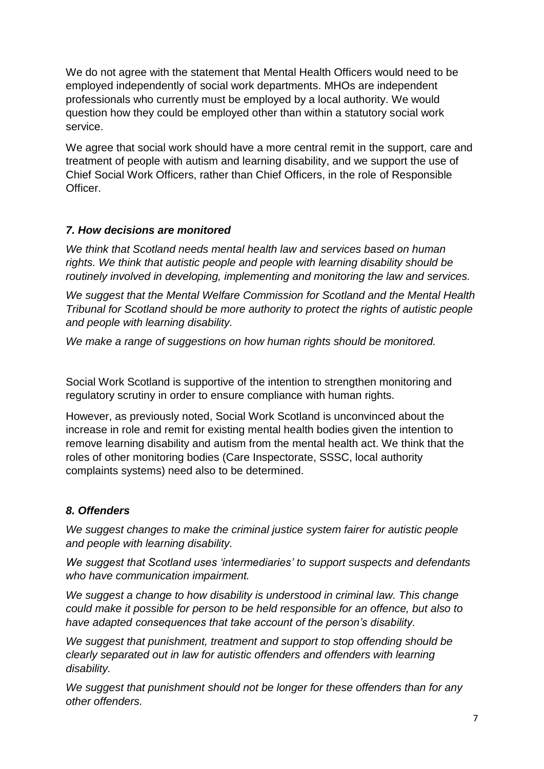We do not agree with the statement that Mental Health Officers would need to be employed independently of social work departments. MHOs are independent professionals who currently must be employed by a local authority. We would question how they could be employed other than within a statutory social work service.

We agree that social work should have a more central remit in the support, care and treatment of people with autism and learning disability, and we support the use of Chief Social Work Officers, rather than Chief Officers, in the role of Responsible **Officer** 

## *7. How decisions are monitored*

*We think that Scotland needs mental health law and services based on human rights. We think that autistic people and people with learning disability should be routinely involved in developing, implementing and monitoring the law and services.*

*We suggest that the Mental Welfare Commission for Scotland and the Mental Health Tribunal for Scotland should be more authority to protect the rights of autistic people and people with learning disability.*

*We make a range of suggestions on how human rights should be monitored.*

Social Work Scotland is supportive of the intention to strengthen monitoring and regulatory scrutiny in order to ensure compliance with human rights.

However, as previously noted, Social Work Scotland is unconvinced about the increase in role and remit for existing mental health bodies given the intention to remove learning disability and autism from the mental health act. We think that the roles of other monitoring bodies (Care Inspectorate, SSSC, local authority complaints systems) need also to be determined.

#### *8. Offenders*

*We suggest changes to make the criminal justice system fairer for autistic people and people with learning disability.* 

*We suggest that Scotland uses 'intermediaries' to support suspects and defendants who have communication impairment.*

*We suggest a change to how disability is understood in criminal law. This change could make it possible for person to be held responsible for an offence, but also to have adapted consequences that take account of the person's disability.*

*We suggest that punishment, treatment and support to stop offending should be clearly separated out in law for autistic offenders and offenders with learning disability.* 

*We suggest that punishment should not be longer for these offenders than for any other offenders.*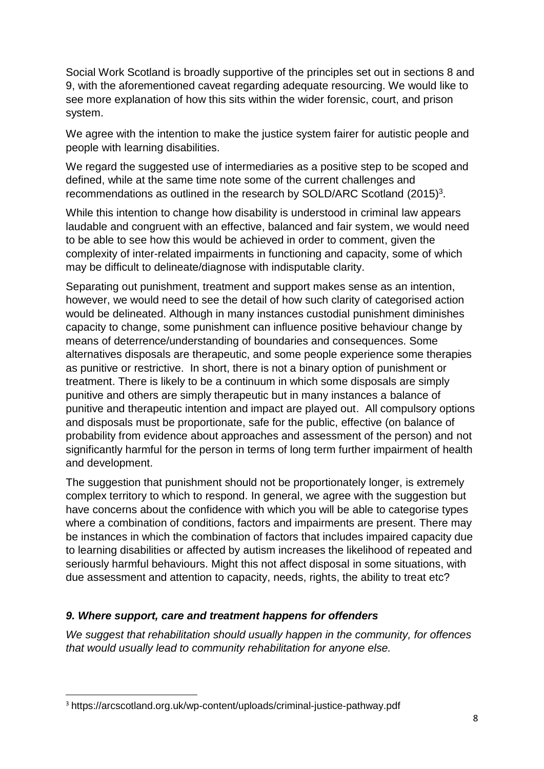Social Work Scotland is broadly supportive of the principles set out in sections 8 and 9, with the aforementioned caveat regarding adequate resourcing. We would like to see more explanation of how this sits within the wider forensic, court, and prison system.

We agree with the intention to make the justice system fairer for autistic people and people with learning disabilities.

We regard the suggested use of intermediaries as a positive step to be scoped and defined, while at the same time note some of the current challenges and recommendations as outlined in the research by SOLD/ARC Scotland  $(2015)^3$ .

While this intention to change how disability is understood in criminal law appears laudable and congruent with an effective, balanced and fair system, we would need to be able to see how this would be achieved in order to comment, given the complexity of inter-related impairments in functioning and capacity, some of which may be difficult to delineate/diagnose with indisputable clarity.

Separating out punishment, treatment and support makes sense as an intention, however, we would need to see the detail of how such clarity of categorised action would be delineated. Although in many instances custodial punishment diminishes capacity to change, some punishment can influence positive behaviour change by means of deterrence/understanding of boundaries and consequences. Some alternatives disposals are therapeutic, and some people experience some therapies as punitive or restrictive. In short, there is not a binary option of punishment or treatment. There is likely to be a continuum in which some disposals are simply punitive and others are simply therapeutic but in many instances a balance of punitive and therapeutic intention and impact are played out. All compulsory options and disposals must be proportionate, safe for the public, effective (on balance of probability from evidence about approaches and assessment of the person) and not significantly harmful for the person in terms of long term further impairment of health and development.

The suggestion that punishment should not be proportionately longer, is extremely complex territory to which to respond. In general, we agree with the suggestion but have concerns about the confidence with which you will be able to categorise types where a combination of conditions, factors and impairments are present. There may be instances in which the combination of factors that includes impaired capacity due to learning disabilities or affected by autism increases the likelihood of repeated and seriously harmful behaviours. Might this not affect disposal in some situations, with due assessment and attention to capacity, needs, rights, the ability to treat etc?

# *9. Where support, care and treatment happens for offenders*

*We suggest that rehabilitation should usually happen in the community, for offences that would usually lead to community rehabilitation for anyone else.*

**.** 

<sup>3</sup> https://arcscotland.org.uk/wp-content/uploads/criminal-justice-pathway.pdf